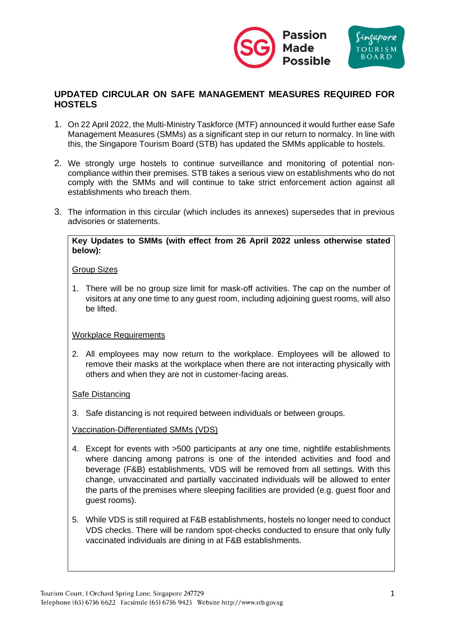

# **UPDATED CIRCULAR ON SAFE MANAGEMENT MEASURES REQUIRED FOR HOSTELS**

- 1. On 22 April 2022, the Multi-Ministry Taskforce (MTF) announced it would further ease Safe Management Measures (SMMs) as a significant step in our return to normalcy. In line with this, the Singapore Tourism Board (STB) has updated the SMMs applicable to hostels.
- 2. We strongly urge hostels to continue surveillance and monitoring of potential noncompliance within their premises. STB takes a serious view on establishments who do not comply with the SMMs and will continue to take strict enforcement action against all establishments who breach them.
- 3. The information in this circular (which includes its annexes) supersedes that in previous advisories or statements.

### **Key Updates to SMMs (with effect from 26 April 2022 unless otherwise stated below):**

### Group Sizes

1. There will be no group size limit for mask-off activities. The cap on the number of visitors at any one time to any guest room, including adjoining guest rooms, will also be lifted.

### Workplace Requirements

2. All employees may now return to the workplace. Employees will be allowed to remove their masks at the workplace when there are not interacting physically with others and when they are not in customer-facing areas.

### Safe Distancing

3. Safe distancing is not required between individuals or between groups.

#### Vaccination-Differentiated SMMs (VDS)

- 4. Except for events with >500 participants at any one time, nightlife establishments where dancing among patrons is one of the intended activities and food and beverage (F&B) establishments, VDS will be removed from all settings. With this change, unvaccinated and partially vaccinated individuals will be allowed to enter the parts of the premises where sleeping facilities are provided (e.g. guest floor and guest rooms).
- 5. While VDS is still required at F&B establishments, hostels no longer need to conduct VDS checks. There will be random spot-checks conducted to ensure that only fully vaccinated individuals are dining in at F&B establishments.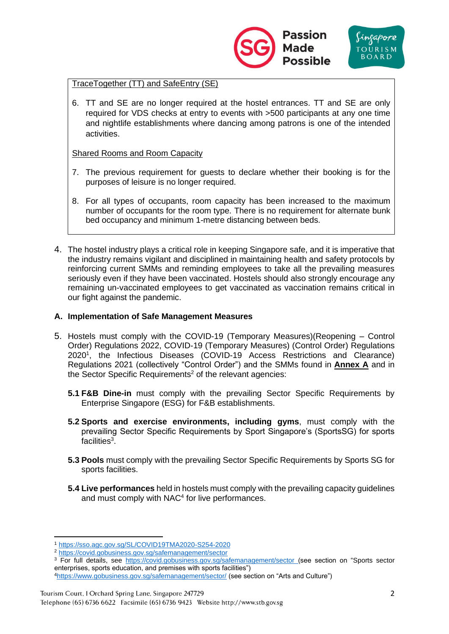

### TraceTogether (TT) and SafeEntry (SE)

6. TT and SE are no longer required at the hostel entrances. TT and SE are only required for VDS checks at entry to events with >500 participants at any one time and nightlife establishments where dancing among patrons is one of the intended activities.

Shared Rooms and Room Capacity

- 7. The previous requirement for guests to declare whether their booking is for the purposes of leisure is no longer required.
- 8. For all types of occupants, room capacity has been increased to the maximum number of occupants for the room type. There is no requirement for alternate bunk bed occupancy and minimum 1-metre distancing between beds.
- 4. The hostel industry plays a critical role in keeping Singapore safe, and it is imperative that the industry remains vigilant and disciplined in maintaining health and safety protocols by reinforcing current SMMs and reminding employees to take all the prevailing measures seriously even if they have been vaccinated. Hostels should also strongly encourage any remaining un-vaccinated employees to get vaccinated as vaccination remains critical in our fight against the pandemic.

### **A. Implementation of Safe Management Measures**

- 5. Hostels must comply with the COVID-19 (Temporary Measures)(Reopening Control Order) Regulations 2022, COVID-19 (Temporary Measures) (Control Order) Regulations 2020<sup>1</sup> , the Infectious Diseases (COVID-19 Access Restrictions and Clearance) Regulations 2021 (collectively "Control Order") and the SMMs found in **Annex A** and in the Sector Specific Requirements<sup>2</sup> of the relevant agencies:
	- **5.1 F&B Dine-in** must comply with the prevailing Sector Specific Requirements by Enterprise Singapore (ESG) for F&B establishments.
	- **5.2 Sports and exercise environments, including gyms**, must comply with the prevailing Sector Specific Requirements by Sport Singapore's (SportsSG) for sports facilities<sup>3</sup>.
	- **5.3 Pools** must comply with the prevailing Sector Specific Requirements by Sports SG for sports facilities.
	- **5.4 Live performances** held in hostels must comply with the prevailing capacity guidelines and must comply with NAC<sup>4</sup> for live performances.

<sup>1</sup> <https://sso.agc.gov.sg/SL/COVID19TMA2020-S254-2020>

<sup>2</sup> [https://covid.gobusiness.gov.sg/safemanagement/sector](https://covid.gobusiness.gov.sg/safemanagement/sector/)

<sup>3</sup> For full details, see [https://covid.gobusiness.gov.sg/safemanagement/sector](https://covid.gobusiness.gov.sg/safemanagement/sector/) (see section on "Sports sector enterprises, sports education, and premises with sports facilities")

<sup>4</sup><https://www.gobusiness.gov.sg/safemanagement/sector/> (see section on "Arts and Culture")